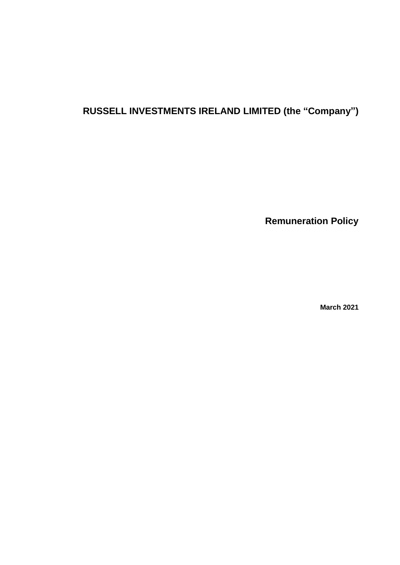# **RUSSELL INVESTMENTS IRELAND LIMITED (the "Company")**

**Remuneration Policy** 

**March 2021**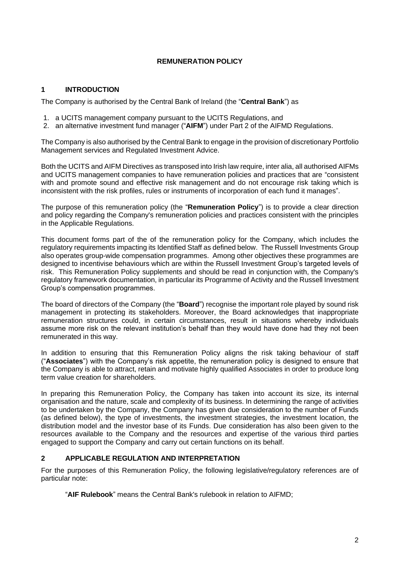# **REMUNERATION POLICY**

# **1 INTRODUCTION**

The Company is authorised by the Central Bank of Ireland (the "**Central Bank**") as

- 1. a UCITS management company pursuant to the UCITS Regulations, and
- 2. an alternative investment fund manager ("**AIFM**") under Part 2 of the AIFMD Regulations.

The Company is also authorised by the Central Bank to engage in the provision of discretionary Portfolio Management services and Regulated Investment Advice.

Both the UCITS and AIFM Directives as transposed into Irish law require, inter alia, all authorised AIFMs and UCITS management companies to have remuneration policies and practices that are "consistent with and promote sound and effective risk management and do not encourage risk taking which is inconsistent with the risk profiles, rules or instruments of incorporation of each fund it manages".

The purpose of this remuneration policy (the "**Remuneration Policy**") is to provide a clear direction and policy regarding the Company's remuneration policies and practices consistent with the principles in the Applicable Regulations.

This document forms part of the of the remuneration policy for the Company, which includes the regulatory requirements impacting its Identified Staff as defined below. The Russell Investments Group also operates group-wide compensation programmes. Among other objectives these programmes are designed to incentivise behaviours which are within the Russell Investment Group's targeted levels of risk. This Remuneration Policy supplements and should be read in conjunction with, the Company's regulatory framework documentation, in particular its Programme of Activity and the Russell Investment Group's compensation programmes.

The board of directors of the Company (the "**Board**") recognise the important role played by sound risk management in protecting its stakeholders. Moreover, the Board acknowledges that inappropriate remuneration structures could, in certain circumstances, result in situations whereby individuals assume more risk on the relevant institution's behalf than they would have done had they not been remunerated in this way.

In addition to ensuring that this Remuneration Policy aligns the risk taking behaviour of staff ("**Associates**") with the Company's risk appetite, the remuneration policy is designed to ensure that the Company is able to attract, retain and motivate highly qualified Associates in order to produce long term value creation for shareholders.

In preparing this Remuneration Policy, the Company has taken into account its size, its internal organisation and the nature, scale and complexity of its business. In determining the range of activities to be undertaken by the Company, the Company has given due consideration to the number of Funds (as defined below), the type of investments, the investment strategies, the investment location, the distribution model and the investor base of its Funds. Due consideration has also been given to the resources available to the Company and the resources and expertise of the various third parties engaged to support the Company and carry out certain functions on its behalf.

# **2 APPLICABLE REGULATION AND INTERPRETATION**

For the purposes of this Remuneration Policy, the following legislative/regulatory references are of particular note:

"**AIF Rulebook**" means the Central Bank's rulebook in relation to AIFMD;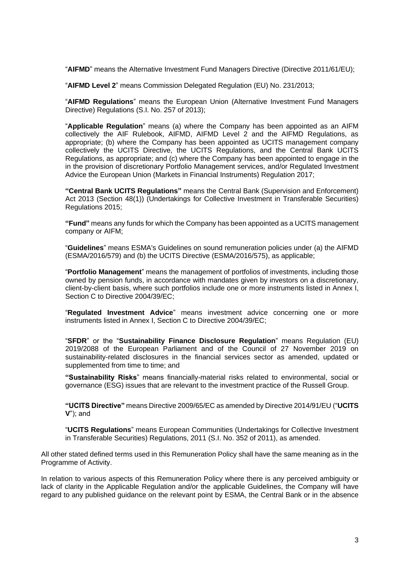"**AIFMD**" means the Alternative Investment Fund Managers Directive (Directive 2011/61/EU);

"**AIFMD Level 2**" means Commission Delegated Regulation (EU) No. 231/2013;

"**AIFMD Regulations**" means the European Union (Alternative Investment Fund Managers Directive) Regulations (S.I. No. 257 of 2013);

"**Applicable Regulation**" means (a) where the Company has been appointed as an AIFM collectively the AIF Rulebook, AIFMD, AIFMD Level 2 and the AIFMD Regulations, as appropriate; (b) where the Company has been appointed as UCITS management company collectively the UCITS Directive, the UCITS Regulations, and the Central Bank UCITS Regulations, as appropriate; and (c) where the Company has been appointed to engage in the in the provision of discretionary Portfolio Management services, and/or Regulated Investment Advice the European Union (Markets in Financial Instruments) Regulation 2017;

**"Central Bank UCITS Regulations"** means the Central Bank (Supervision and Enforcement) Act 2013 (Section 48(1)) (Undertakings for Collective Investment in Transferable Securities) Regulations 2015;

**"Fund"** means any funds for which the Company has been appointed as a UCITS management company or AIFM;

"**Guidelines**" means ESMA's Guidelines on sound remuneration policies under (a) the AIFMD (ESMA/2016/579) and (b) the UCITS Directive (ESMA/2016/575), as applicable;

"**Portfolio Management**" means the management of portfolios of investments, including those owned by pension funds, in accordance with mandates given by investors on a discretionary, client-by-client basis, where such portfolios include one or more instruments listed in Annex I, Section C to Directive 2004/39/EC;

"**Regulated Investment Advice**" means investment advice concerning one or more instruments listed in Annex I, Section C to Directive 2004/39/EC;

"**SFDR**" or the "**Sustainability Finance Disclosure Regulation**" means Regulation (EU) 2019/2088 of the European Parliament and of the Council of 27 November 2019 on sustainability-related disclosures in the financial services sector as amended, updated or supplemented from time to time; and

**"Sustainability Risks**" means financially-material risks related to environmental, social or governance (ESG) issues that are relevant to the investment practice of the Russell Group.

**"UCITS Directive"** means Directive 2009/65/EC as amended by Directive 2014/91/EU ("**UCITS V**"); and

"**UCITS Regulations**" means European Communities (Undertakings for Collective Investment in Transferable Securities) Regulations, 2011 (S.I. No. 352 of 2011), as amended.

All other stated defined terms used in this Remuneration Policy shall have the same meaning as in the Programme of Activity.

In relation to various aspects of this Remuneration Policy where there is any perceived ambiguity or lack of clarity in the Applicable Regulation and/or the applicable Guidelines, the Company will have regard to any published guidance on the relevant point by ESMA, the Central Bank or in the absence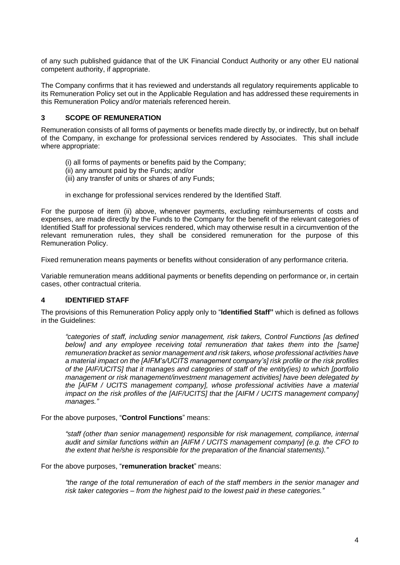of any such published guidance that of the UK Financial Conduct Authority or any other EU national competent authority, if appropriate.

The Company confirms that it has reviewed and understands all regulatory requirements applicable to its Remuneration Policy set out in the Applicable Regulation and has addressed these requirements in this Remuneration Policy and/or materials referenced herein.

# **3 SCOPE OF REMUNERATION**

Remuneration consists of all forms of payments or benefits made directly by, or indirectly, but on behalf of the Company, in exchange for professional services rendered by Associates. This shall include where appropriate:

- (i) all forms of payments or benefits paid by the Company;
- (ii) any amount paid by the Funds; and/or
- (iii) any transfer of units or shares of any Funds;
- in exchange for professional services rendered by the Identified Staff.

For the purpose of item (ii) above, whenever payments, excluding reimbursements of costs and expenses, are made directly by the Funds to the Company for the benefit of the relevant categories of Identified Staff for professional services rendered, which may otherwise result in a circumvention of the relevant remuneration rules, they shall be considered remuneration for the purpose of this Remuneration Policy.

Fixed remuneration means payments or benefits without consideration of any performance criteria.

Variable remuneration means additional payments or benefits depending on performance or, in certain cases, other contractual criteria.

# **4 IDENTIFIED STAFF**

The provisions of this Remuneration Policy apply only to "**Identified Staff"** which is defined as follows in the Guidelines:

*"categories of staff, including senior management, risk takers, Control Functions [as defined below] and any employee receiving total remuneration that takes them into the [same] remuneration bracket as senior management and risk takers, whose professional activities have a material impact on the [AIFM's/UCITS management company's] risk profile or the risk profiles of the [AIF/UCITS] that it manages and categories of staff of the entity(ies) to which [portfolio management or risk management/investment management activities] have been delegated by the [AIFM / UCITS management company], whose professional activities have a material impact on the risk profiles of the [AIF/UCITS] that the [AIFM / UCITS management company] manages."*

For the above purposes, "**Control Functions**" means:

*"staff (other than senior management) responsible for risk management, compliance, internal audit and similar functions within an [AIFM / UCITS management company] (e.g. the CFO to the extent that he/she is responsible for the preparation of the financial statements)."*

For the above purposes, "**remuneration bracket**" means:

*"the range of the total remuneration of each of the staff members in the senior manager and risk taker categories – from the highest paid to the lowest paid in these categories."*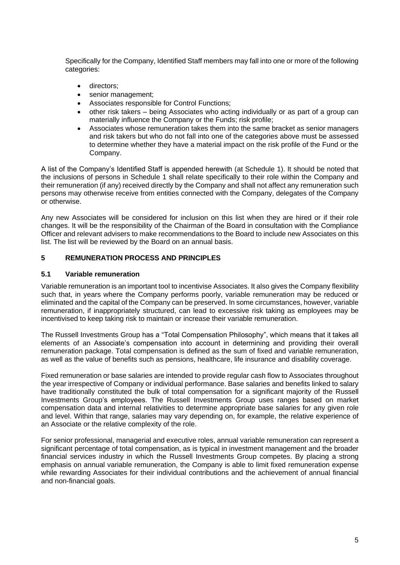Specifically for the Company, Identified Staff members may fall into one or more of the following categories:

- directors:
- senior management;
- Associates responsible for Control Functions;
- other risk takers being Associates who acting individually or as part of a group can materially influence the Company or the Funds; risk profile;
- Associates whose remuneration takes them into the same bracket as senior managers and risk takers but who do not fall into one of the categories above must be assessed to determine whether they have a material impact on the risk profile of the Fund or the Company.

A list of the Company's Identified Staff is appended herewith (at Schedule 1). It should be noted that the inclusions of persons in Schedule 1 shall relate specifically to their role within the Company and their remuneration (if any) received directly by the Company and shall not affect any remuneration such persons may otherwise receive from entities connected with the Company, delegates of the Company or otherwise.

Any new Associates will be considered for inclusion on this list when they are hired or if their role changes. It will be the responsibility of the Chairman of the Board in consultation with the Compliance Officer and relevant advisers to make recommendations to the Board to include new Associates on this list. The list will be reviewed by the Board on an annual basis.

### **5 REMUNERATION PROCESS AND PRINCIPLES**

### **5.1 Variable remuneration**

Variable remuneration is an important tool to incentivise Associates. It also gives the Company flexibility such that, in years where the Company performs poorly, variable remuneration may be reduced or eliminated and the capital of the Company can be preserved. In some circumstances, however, variable remuneration, if inappropriately structured, can lead to excessive risk taking as employees may be incentivised to keep taking risk to maintain or increase their variable remuneration.

The Russell Investments Group has a "Total Compensation Philosophy", which means that it takes all elements of an Associate's compensation into account in determining and providing their overall remuneration package. Total compensation is defined as the sum of fixed and variable remuneration, as well as the value of benefits such as pensions, healthcare, life insurance and disability coverage.

Fixed remuneration or base salaries are intended to provide regular cash flow to Associates throughout the year irrespective of Company or individual performance. Base salaries and benefits linked to salary have traditionally constituted the bulk of total compensation for a significant majority of the Russell Investments Group's employees. The Russell Investments Group uses ranges based on market compensation data and internal relativities to determine appropriate base salaries for any given role and level. Within that range, salaries may vary depending on, for example, the relative experience of an Associate or the relative complexity of the role.

For senior professional, managerial and executive roles, annual variable remuneration can represent a significant percentage of total compensation, as is typical in investment management and the broader financial services industry in which the Russell Investments Group competes. By placing a strong emphasis on annual variable remuneration, the Company is able to limit fixed remuneration expense while rewarding Associates for their individual contributions and the achievement of annual financial and non-financial goals.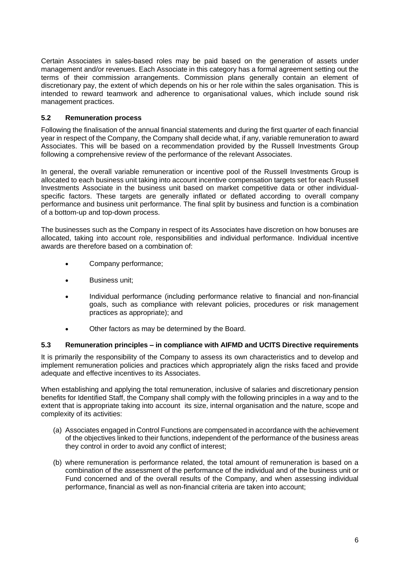Certain Associates in sales-based roles may be paid based on the generation of assets under management and/or revenues. Each Associate in this category has a formal agreement setting out the terms of their commission arrangements. Commission plans generally contain an element of discretionary pay, the extent of which depends on his or her role within the sales organisation. This is intended to reward teamwork and adherence to organisational values, which include sound risk management practices.

# **5.2 Remuneration process**

Following the finalisation of the annual financial statements and during the first quarter of each financial year in respect of the Company, the Company shall decide what, if any, variable remuneration to award Associates. This will be based on a recommendation provided by the Russell Investments Group following a comprehensive review of the performance of the relevant Associates.

In general, the overall variable remuneration or incentive pool of the Russell Investments Group is allocated to each business unit taking into account incentive compensation targets set for each Russell Investments Associate in the business unit based on market competitive data or other individualspecific factors. These targets are generally inflated or deflated according to overall company performance and business unit performance. The final split by business and function is a combination of a bottom-up and top-down process.

The businesses such as the Company in respect of its Associates have discretion on how bonuses are allocated, taking into account role, responsibilities and individual performance. Individual incentive awards are therefore based on a combination of:

- Company performance;
- Business unit;
- Individual performance (including performance relative to financial and non-financial goals, such as compliance with relevant policies, procedures or risk management practices as appropriate); and
- Other factors as may be determined by the Board.

# **5.3 Remuneration principles – in compliance with AIFMD and UCITS Directive requirements**

It is primarily the responsibility of the Company to assess its own characteristics and to develop and implement remuneration policies and practices which appropriately align the risks faced and provide adequate and effective incentives to its Associates.

When establishing and applying the total remuneration, inclusive of salaries and discretionary pension benefits for Identified Staff, the Company shall comply with the following principles in a way and to the extent that is appropriate taking into account its size, internal organisation and the nature, scope and complexity of its activities:

- (a) Associates engaged in Control Functions are compensated in accordance with the achievement of the objectives linked to their functions, independent of the performance of the business areas they control in order to avoid any conflict of interest;
- (b) where remuneration is performance related, the total amount of remuneration is based on a combination of the assessment of the performance of the individual and of the business unit or Fund concerned and of the overall results of the Company, and when assessing individual performance, financial as well as non-financial criteria are taken into account;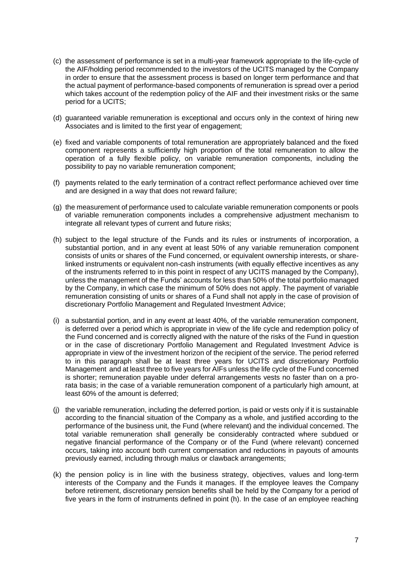- (c) the assessment of performance is set in a multi-year framework appropriate to the life-cycle of the AIF/holding period recommended to the investors of the UCITS managed by the Company in order to ensure that the assessment process is based on longer term performance and that the actual payment of performance-based components of remuneration is spread over a period which takes account of the redemption policy of the AIF and their investment risks or the same period for a UCITS;
- (d) guaranteed variable remuneration is exceptional and occurs only in the context of hiring new Associates and is limited to the first year of engagement;
- (e) fixed and variable components of total remuneration are appropriately balanced and the fixed component represents a sufficiently high proportion of the total remuneration to allow the operation of a fully flexible policy, on variable remuneration components, including the possibility to pay no variable remuneration component;
- (f) payments related to the early termination of a contract reflect performance achieved over time and are designed in a way that does not reward failure;
- (g) the measurement of performance used to calculate variable remuneration components or pools of variable remuneration components includes a comprehensive adjustment mechanism to integrate all relevant types of current and future risks;
- (h) subject to the legal structure of the Funds and its rules or instruments of incorporation, a substantial portion, and in any event at least 50% of any variable remuneration component consists of units or shares of the Fund concerned, or equivalent ownership interests, or sharelinked instruments or equivalent non-cash instruments (with equally effective incentives as any of the instruments referred to in this point in respect of any UCITS managed by the Company), unless the management of the Funds' accounts for less than 50% of the total portfolio managed by the Company, in which case the minimum of 50% does not apply. The payment of variable remuneration consisting of units or shares of a Fund shall not apply in the case of provision of discretionary Portfolio Management and Regulated Investment Advice;
- (i) a substantial portion, and in any event at least 40%, of the variable remuneration component, is deferred over a period which is appropriate in view of the life cycle and redemption policy of the Fund concerned and is correctly aligned with the nature of the risks of the Fund in question or in the case of discretionary Portfolio Management and Regulated Investment Advice is appropriate in view of the investment horizon of the recipient of the service. The period referred to in this paragraph shall be at least three years for UCITS and discretionary Portfolio Management and at least three to five years for AIFs unless the life cycle of the Fund concerned is shorter; remuneration payable under deferral arrangements vests no faster than on a prorata basis; in the case of a variable remuneration component of a particularly high amount, at least 60% of the amount is deferred;
- (j) the variable remuneration, including the deferred portion, is paid or vests only if it is sustainable according to the financial situation of the Company as a whole, and justified according to the performance of the business unit, the Fund (where relevant) and the individual concerned. The total variable remuneration shall generally be considerably contracted where subdued or negative financial performance of the Company or of the Fund (where relevant) concerned occurs, taking into account both current compensation and reductions in payouts of amounts previously earned, including through malus or clawback arrangements;
- (k) the pension policy is in line with the business strategy, objectives, values and long-term interests of the Company and the Funds it manages. If the employee leaves the Company before retirement, discretionary pension benefits shall be held by the Company for a period of five years in the form of instruments defined in point (h). In the case of an employee reaching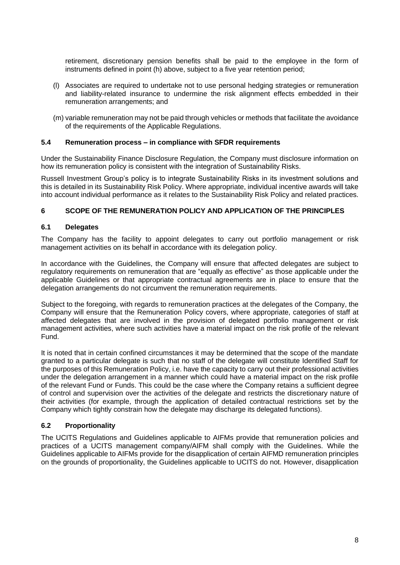retirement, discretionary pension benefits shall be paid to the employee in the form of instruments defined in point (h) above, subject to a five year retention period;

- (l) Associates are required to undertake not to use personal hedging strategies or remuneration and liability-related insurance to undermine the risk alignment effects embedded in their remuneration arrangements; and
- (m) variable remuneration may not be paid through vehicles or methods that facilitate the avoidance of the requirements of the Applicable Regulations.

#### **5.4 Remuneration process – in compliance with SFDR requirements**

Under the Sustainability Finance Disclosure Regulation, the Company must disclosure information on how its remuneration policy is consistent with the integration of Sustainability Risks.

Russell Investment Group's policy is to integrate Sustainability Risks in its investment solutions and this is detailed in its Sustainability Risk Policy. Where appropriate, individual incentive awards will take into account individual performance as it relates to the Sustainability Risk Policy and related practices.

#### **6 SCOPE OF THE REMUNERATION POLICY AND APPLICATION OF THE PRINCIPLES**

#### **6.1 Delegates**

The Company has the facility to appoint delegates to carry out portfolio management or risk management activities on its behalf in accordance with its delegation policy.

In accordance with the Guidelines, the Company will ensure that affected delegates are subject to regulatory requirements on remuneration that are "equally as effective" as those applicable under the applicable Guidelines or that appropriate contractual agreements are in place to ensure that the delegation arrangements do not circumvent the remuneration requirements.

Subject to the foregoing, with regards to remuneration practices at the delegates of the Company, the Company will ensure that the Remuneration Policy covers, where appropriate, categories of staff at affected delegates that are involved in the provision of delegated portfolio management or risk management activities, where such activities have a material impact on the risk profile of the relevant Fund.

It is noted that in certain confined circumstances it may be determined that the scope of the mandate granted to a particular delegate is such that no staff of the delegate will constitute Identified Staff for the purposes of this Remuneration Policy, i.e. have the capacity to carry out their professional activities under the delegation arrangement in a manner which could have a material impact on the risk profile of the relevant Fund or Funds. This could be the case where the Company retains a sufficient degree of control and supervision over the activities of the delegate and restricts the discretionary nature of their activities (for example, through the application of detailed contractual restrictions set by the Company which tightly constrain how the delegate may discharge its delegated functions).

#### **6.2 Proportionality**

The UCITS Regulations and Guidelines applicable to AIFMs provide that remuneration policies and practices of a UCITS management company/AIFM shall comply with the Guidelines. While the Guidelines applicable to AIFMs provide for the disapplication of certain AIFMD remuneration principles on the grounds of proportionality, the Guidelines applicable to UCITS do not. However, disapplication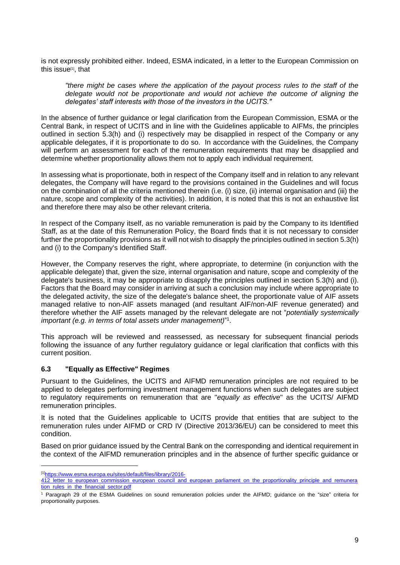is not expressly prohibited either. Indeed, ESMA indicated, in a letter to the European Commission on this issue<sup>[1]</sup>, that

*"there might be cases where the application of the payout process rules to the staff of the delegate would not be proportionate and would not achieve the outcome of aligning the delegates' staff interests with those of the investors in the UCITS."*

In the absence of further guidance or legal clarification from the European Commission, ESMA or the Central Bank, in respect of UCITS and in line with the Guidelines applicable to AIFMs, the principles outlined in section 5.3(h) and (i) respectively may be disapplied in respect of the Company or any applicable delegates, if it is proportionate to do so. In accordance with the Guidelines, the Company will perform an assessment for each of the remuneration requirements that may be disapplied and determine whether proportionality allows them not to apply each individual requirement.

In assessing what is proportionate, both in respect of the Company itself and in relation to any relevant delegates, the Company will have regard to the provisions contained in the Guidelines and will focus on the combination of all the criteria mentioned therein (i.e. (i) size, (ii) internal organisation and (iii) the nature, scope and complexity of the activities). In addition, it is noted that this is not an exhaustive list and therefore there may also be other relevant criteria.

In respect of the Company itself, as no variable remuneration is paid by the Company to its Identified Staff, as at the date of this Remuneration Policy, the Board finds that it is not necessary to consider further the proportionality provisions as it will not wish to disapply the principles outlined in section 5.3(h) and (i) to the Company's Identified Staff.

However, the Company reserves the right, where appropriate, to determine (in conjunction with the applicable delegate) that, given the size, internal organisation and nature, scope and complexity of the delegate's business, it may be appropriate to disapply the principles outlined in section 5.3(h) and (i). Factors that the Board may consider in arriving at such a conclusion may include where appropriate to the delegated activity, the size of the delegate's balance sheet, the proportionate value of AIF assets managed relative to non-AIF assets managed (and resultant AIF/non-AIF revenue generated) and therefore whether the AIF assets managed by the relevant delegate are not "*potentially systemically important (e.g. in terms of total assets under management)*" 1 .

This approach will be reviewed and reassessed, as necessary for subsequent financial periods following the issuance of any further regulatory guidance or legal clarification that conflicts with this current position.

#### **6.3 "Equally as Effective" Regimes**

Pursuant to the Guidelines, the UCITS and AIFMD remuneration principles are not required to be applied to delegates performing investment management functions when such delegates are subject to regulatory requirements on remuneration that are "*equally as effective*" as the UCITS/ AIFMD remuneration principles.

It is noted that the Guidelines applicable to UCITS provide that entities that are subject to the remuneration rules under AIFMD or CRD IV (Directive 2013/36/EU) can be considered to meet this condition.

Based on prior guidance issued by the Central Bank on the corresponding and identical requirement in the context of the AIFMD remuneration principles and in the absence of further specific guidance or

<sup>[1]</sup>[https://www.esma.europa.eu/sites/default/files/library/2016-](https://www.esma.europa.eu/sites/default/files/library/2016-412_letter_to_european_commission_european_council_and_european_parliament_on_the_proportionality_principle_and_remuneration_rules_in_the_financial_sector.pdf)

<sup>412</sup> letter to european commission european council and european parliament on the proportionality principle and remunera [tion\\_rules\\_in\\_the\\_financial\\_sector.pdf](https://www.esma.europa.eu/sites/default/files/library/2016-412_letter_to_european_commission_european_council_and_european_parliament_on_the_proportionality_principle_and_remuneration_rules_in_the_financial_sector.pdf)

<sup>1</sup> Paragraph 29 of the ESMA Guidelines on sound remuneration policies under the AIFMD; guidance on the "size" criteria for proportionality purposes.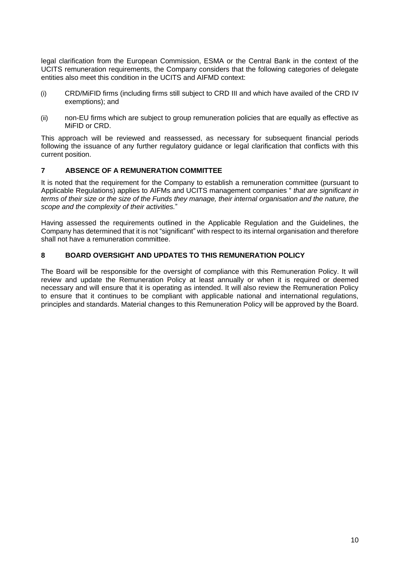legal clarification from the European Commission, ESMA or the Central Bank in the context of the UCITS remuneration requirements, the Company considers that the following categories of delegate entities also meet this condition in the UCITS and AIFMD context:

- (i) CRD/MiFID firms (including firms still subject to CRD III and which have availed of the CRD IV exemptions); and
- (ii) non-EU firms which are subject to group remuneration policies that are equally as effective as MiFID or CRD.

This approach will be reviewed and reassessed, as necessary for subsequent financial periods following the issuance of any further regulatory guidance or legal clarification that conflicts with this current position.

# **7 ABSENCE OF A REMUNERATION COMMITTEE**

It is noted that the requirement for the Company to establish a remuneration committee (pursuant to Applicable Regulations) applies to AIFMs and UCITS management companies " *that are significant in terms of their size or the size of the Funds they manage, their internal organisation and the nature, the scope and the complexity of their activities.*"

Having assessed the requirements outlined in the Applicable Regulation and the Guidelines, the Company has determined that it is not "significant" with respect to its internal organisation and therefore shall not have a remuneration committee.

# **8 BOARD OVERSIGHT AND UPDATES TO THIS REMUNERATION POLICY**

The Board will be responsible for the oversight of compliance with this Remuneration Policy. It will review and update the Remuneration Policy at least annually or when it is required or deemed necessary and will ensure that it is operating as intended. It will also review the Remuneration Policy to ensure that it continues to be compliant with applicable national and international regulations, principles and standards. Material changes to this Remuneration Policy will be approved by the Board.